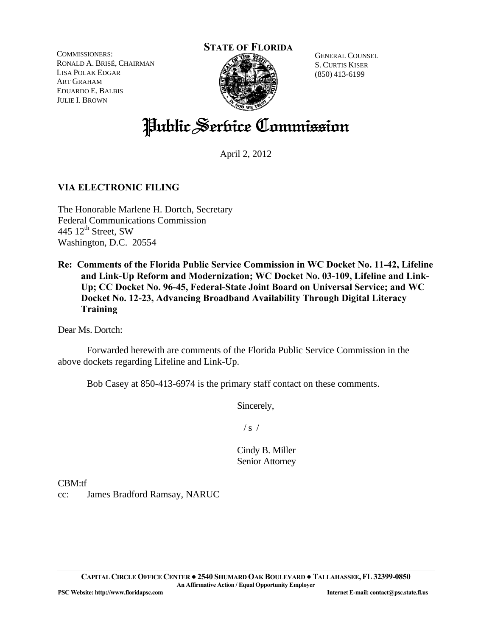COMMISSIONERS: RONALD A. BRISÉ, CHAIRMAN LISA POLAK EDGAR ART GRAHAM EDUARDO E. BALBIS JULIE I. BROWN

#### **STATE OF FLORIDA**



GENERAL COUNSEL S. CURTIS KISER (850) 413-6199

# Public Service Commission

April 2, 2012

# **VIA ELECTRONIC FILING**

The Honorable Marlene H. Dortch, Secretary Federal Communications Commission 445  $12^{\text{th}}$  Street, SW Washington, D.C. 20554

**Re: Comments of the Florida Public Service Commission in WC Docket No. 11-42, Lifeline and Link-Up Reform and Modernization; WC Docket No. 03-109, Lifeline and Link-Up; CC Docket No. 96-45, Federal-State Joint Board on Universal Service; and WC Docket No. 12-23, Advancing Broadband Availability Through Digital Literacy Training** 

Dear Ms. Dortch:

 Forwarded herewith are comments of the Florida Public Service Commission in the above dockets regarding Lifeline and Link-Up.

Bob Casey at 850-413-6974 is the primary staff contact on these comments.

Sincerely,

 $/ s /$ 

Cindy B. Miller Senior Attorney

CBM:tf

cc: James Bradford Ramsay, NARUC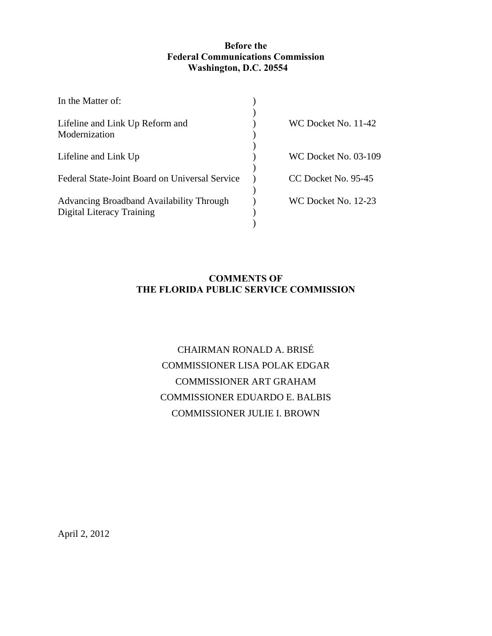## **Before the Federal Communications Commission Washington, D.C. 20554**

| In the Matter of:                                |                             |
|--------------------------------------------------|-----------------------------|
|                                                  | WC Docket No. 11-42         |
| Lifeline and Link Up Reform and<br>Modernization |                             |
|                                                  |                             |
| Lifeline and Link Up                             | <b>WC Docket No. 03-109</b> |
| Federal State-Joint Board on Universal Service   | CC Docket No. 95-45         |
| Advancing Broadband Availability Through         | WC Docket No. 12-23         |
| Digital Literacy Training                        |                             |
|                                                  |                             |

# **COMMENTS OF THE FLORIDA PUBLIC SERVICE COMMISSION**

# CHAIRMAN RONALD A. BRISÉ COMMISSIONER LISA POLAK EDGAR COMMISSIONER ART GRAHAM COMMISSIONER EDUARDO E. BALBIS COMMISSIONER JULIE I. BROWN

April 2, 2012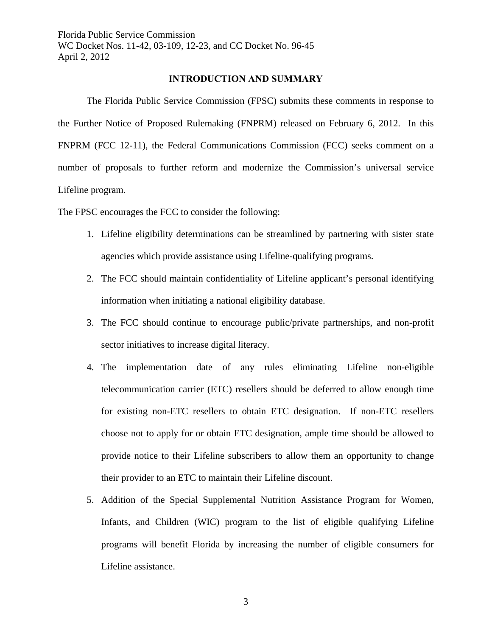#### **INTRODUCTION AND SUMMARY**

 The Florida Public Service Commission (FPSC) submits these comments in response to the Further Notice of Proposed Rulemaking (FNPRM) released on February 6, 2012. In this FNPRM (FCC 12-11), the Federal Communications Commission (FCC) seeks comment on a number of proposals to further reform and modernize the Commission's universal service Lifeline program.

The FPSC encourages the FCC to consider the following:

- 1. Lifeline eligibility determinations can be streamlined by partnering with sister state agencies which provide assistance using Lifeline-qualifying programs.
- 2. The FCC should maintain confidentiality of Lifeline applicant's personal identifying information when initiating a national eligibility database.
- 3. The FCC should continue to encourage public/private partnerships, and non-profit sector initiatives to increase digital literacy.
- 4. The implementation date of any rules eliminating Lifeline non-eligible telecommunication carrier (ETC) resellers should be deferred to allow enough time for existing non-ETC resellers to obtain ETC designation. If non-ETC resellers choose not to apply for or obtain ETC designation, ample time should be allowed to provide notice to their Lifeline subscribers to allow them an opportunity to change their provider to an ETC to maintain their Lifeline discount.
- 5. Addition of the Special Supplemental Nutrition Assistance Program for Women, Infants, and Children (WIC) program to the list of eligible qualifying Lifeline programs will benefit Florida by increasing the number of eligible consumers for Lifeline assistance.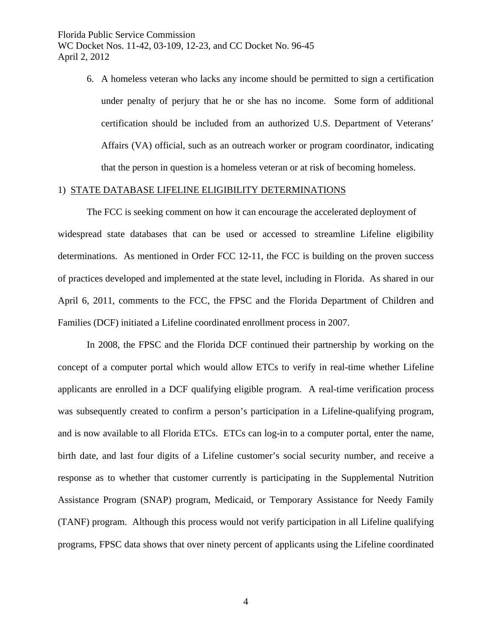> 6. A homeless veteran who lacks any income should be permitted to sign a certification under penalty of perjury that he or she has no income. Some form of additional certification should be included from an authorized U.S. Department of Veterans' Affairs (VA) official, such as an outreach worker or program coordinator, indicating that the person in question is a homeless veteran or at risk of becoming homeless.

#### 1) STATE DATABASE LIFELINE ELIGIBILITY DETERMINATIONS

 The FCC is seeking comment on how it can encourage the accelerated deployment of widespread state databases that can be used or accessed to streamline Lifeline eligibility determinations. As mentioned in Order FCC 12-11, the FCC is building on the proven success of practices developed and implemented at the state level, including in Florida. As shared in our April 6, 2011, comments to the FCC, the FPSC and the Florida Department of Children and Families (DCF) initiated a Lifeline coordinated enrollment process in 2007.

In 2008, the FPSC and the Florida DCF continued their partnership by working on the concept of a computer portal which would allow ETCs to verify in real-time whether Lifeline applicants are enrolled in a DCF qualifying eligible program. A real-time verification process was subsequently created to confirm a person's participation in a Lifeline-qualifying program, and is now available to all Florida ETCs. ETCs can log-in to a computer portal, enter the name, birth date, and last four digits of a Lifeline customer's social security number, and receive a response as to whether that customer currently is participating in the Supplemental Nutrition Assistance Program (SNAP) program, Medicaid, or Temporary Assistance for Needy Family (TANF) program. Although this process would not verify participation in all Lifeline qualifying programs, FPSC data shows that over ninety percent of applicants using the Lifeline coordinated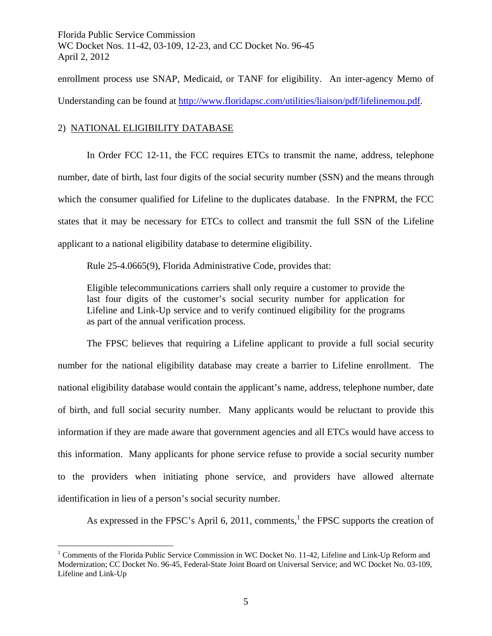enrollment process use SNAP, Medicaid, or TANF for eligibility. An inter-agency Memo of Understanding can be found at http://www.floridapsc.com/utilities/liaison/pdf/lifelinemou.pdf.

## 2) NATIONAL ELIGIBILITY DATABASE

 $\overline{a}$ 

In Order FCC 12-11, the FCC requires ETCs to transmit the name, address, telephone number, date of birth, last four digits of the social security number (SSN) and the means through which the consumer qualified for Lifeline to the duplicates database. In the FNPRM, the FCC states that it may be necessary for ETCs to collect and transmit the full SSN of the Lifeline applicant to a national eligibility database to determine eligibility.

Rule 25-4.0665(9), Florida Administrative Code, provides that:

Eligible telecommunications carriers shall only require a customer to provide the last four digits of the customer's social security number for application for Lifeline and Link-Up service and to verify continued eligibility for the programs as part of the annual verification process.

 The FPSC believes that requiring a Lifeline applicant to provide a full social security number for the national eligibility database may create a barrier to Lifeline enrollment. The national eligibility database would contain the applicant's name, address, telephone number, date of birth, and full social security number. Many applicants would be reluctant to provide this information if they are made aware that government agencies and all ETCs would have access to this information. Many applicants for phone service refuse to provide a social security number to the providers when initiating phone service, and providers have allowed alternate identification in lieu of a person's social security number.

As expressed in the FPSC's April 6, 2011, comments,<sup>1</sup> the FPSC supports the creation of

<sup>&</sup>lt;sup>1</sup> Comments of the Florida Public Service Commission in WC Docket No. 11-42, Lifeline and Link-Up Reform and Modernization; CC Docket No. 96-45, Federal-State Joint Board on Universal Service; and WC Docket No. 03-109, Lifeline and Link-Up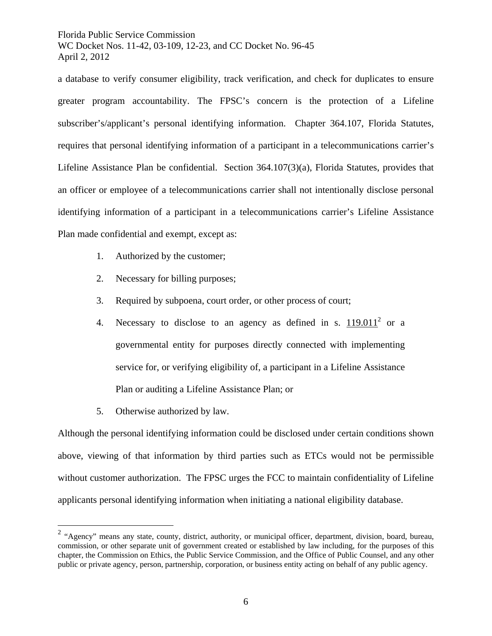a database to verify consumer eligibility, track verification, and check for duplicates to ensure greater program accountability. The FPSC's concern is the protection of a Lifeline subscriber's/applicant's personal identifying information. Chapter 364.107, Florida Statutes, requires that personal identifying information of a participant in a telecommunications carrier's Lifeline Assistance Plan be confidential. Section 364.107(3)(a), Florida Statutes, provides that an officer or employee of a telecommunications carrier shall not intentionally disclose personal identifying information of a participant in a telecommunications carrier's Lifeline Assistance Plan made confidential and exempt, except as:

- 1. Authorized by the customer;
- 2. Necessary for billing purposes;
- 3. Required by subpoena, court order, or other process of court;
- 4. Necessary to disclose to an agency as defined in s.  $119.011<sup>2</sup>$  or a governmental entity for purposes directly connected with implementing service for, or verifying eligibility of, a participant in a Lifeline Assistance Plan or auditing a Lifeline Assistance Plan; or
- 5. Otherwise authorized by law.

 $\overline{a}$ 

Although the personal identifying information could be disclosed under certain conditions shown above, viewing of that information by third parties such as ETCs would not be permissible without customer authorization. The FPSC urges the FCC to maintain confidentiality of Lifeline applicants personal identifying information when initiating a national eligibility database.

 $2$  "Agency" means any state, county, district, authority, or municipal officer, department, division, board, bureau, commission, or other separate unit of government created or established by law including, for the purposes of this chapter, the Commission on Ethics, the Public Service Commission, and the Office of Public Counsel, and any other public or private agency, person, partnership, corporation, or business entity acting on behalf of any public agency.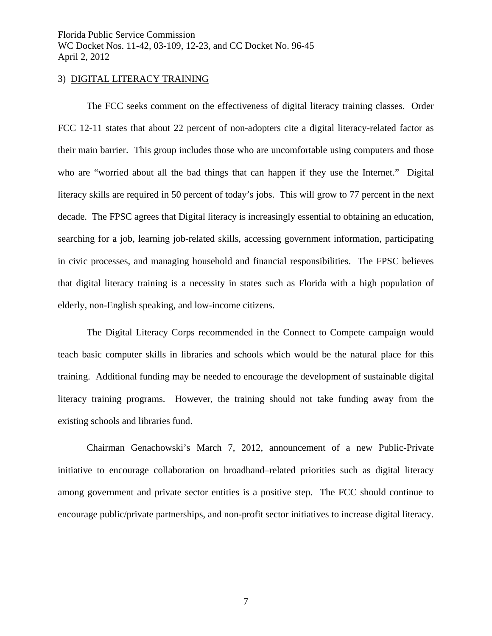#### 3) DIGITAL LITERACY TRAINING

The FCC seeks comment on the effectiveness of digital literacy training classes. Order FCC 12-11 states that about 22 percent of non-adopters cite a digital literacy-related factor as their main barrier. This group includes those who are uncomfortable using computers and those who are "worried about all the bad things that can happen if they use the Internet." Digital literacy skills are required in 50 percent of today's jobs. This will grow to 77 percent in the next decade. The FPSC agrees that Digital literacy is increasingly essential to obtaining an education, searching for a job, learning job-related skills, accessing government information, participating in civic processes, and managing household and financial responsibilities. The FPSC believes that digital literacy training is a necessity in states such as Florida with a high population of elderly, non-English speaking, and low-income citizens.

 The Digital Literacy Corps recommended in the Connect to Compete campaign would teach basic computer skills in libraries and schools which would be the natural place for this training. Additional funding may be needed to encourage the development of sustainable digital literacy training programs. However, the training should not take funding away from the existing schools and libraries fund.

Chairman Genachowski's March 7, 2012, announcement of a new Public-Private initiative to encourage collaboration on broadband–related priorities such as digital literacy among government and private sector entities is a positive step. The FCC should continue to encourage public/private partnerships, and non-profit sector initiatives to increase digital literacy.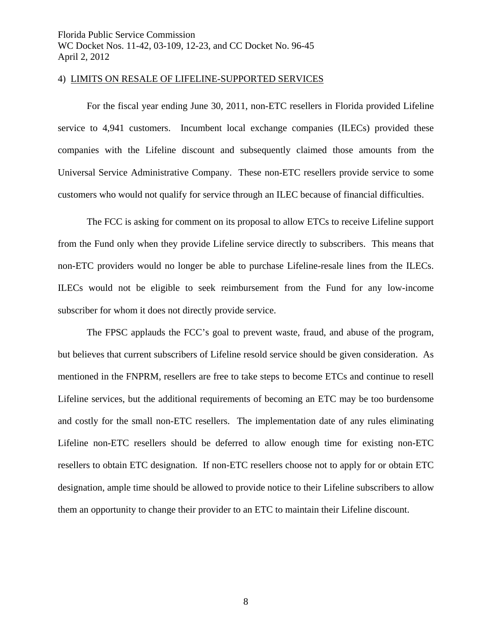#### 4) LIMITS ON RESALE OF LIFELINE-SUPPORTED SERVICES

For the fiscal year ending June 30, 2011, non-ETC resellers in Florida provided Lifeline service to 4,941 customers. Incumbent local exchange companies (ILECs) provided these companies with the Lifeline discount and subsequently claimed those amounts from the Universal Service Administrative Company. These non-ETC resellers provide service to some customers who would not qualify for service through an ILEC because of financial difficulties.

The FCC is asking for comment on its proposal to allow ETCs to receive Lifeline support from the Fund only when they provide Lifeline service directly to subscribers. This means that non-ETC providers would no longer be able to purchase Lifeline-resale lines from the ILECs. ILECs would not be eligible to seek reimbursement from the Fund for any low-income subscriber for whom it does not directly provide service.

 The FPSC applauds the FCC's goal to prevent waste, fraud, and abuse of the program, but believes that current subscribers of Lifeline resold service should be given consideration. As mentioned in the FNPRM, resellers are free to take steps to become ETCs and continue to resell Lifeline services, but the additional requirements of becoming an ETC may be too burdensome and costly for the small non-ETC resellers. The implementation date of any rules eliminating Lifeline non-ETC resellers should be deferred to allow enough time for existing non-ETC resellers to obtain ETC designation. If non-ETC resellers choose not to apply for or obtain ETC designation, ample time should be allowed to provide notice to their Lifeline subscribers to allow them an opportunity to change their provider to an ETC to maintain their Lifeline discount.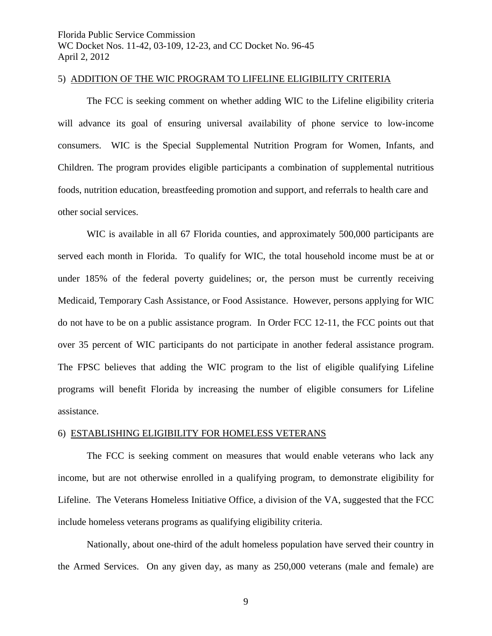#### 5) ADDITION OF THE WIC PROGRAM TO LIFELINE ELIGIBILITY CRITERIA

The FCC is seeking comment on whether adding WIC to the Lifeline eligibility criteria will advance its goal of ensuring universal availability of phone service to low-income consumers. WIC is the Special Supplemental Nutrition Program for Women, Infants, and Children. The program provides eligible participants a combination of supplemental nutritious foods, nutrition education, breastfeeding promotion and support, and referrals to health care and other social services.

WIC is available in all 67 Florida counties, and approximately 500,000 participants are served each month in Florida. To qualify for WIC, the total household income must be at or under 185% of the federal poverty guidelines; or, the person must be currently receiving Medicaid, Temporary Cash Assistance, or Food Assistance. However, persons applying for WIC do not have to be on a public assistance program. In Order FCC 12-11, the FCC points out that over 35 percent of WIC participants do not participate in another federal assistance program. The FPSC believes that adding the WIC program to the list of eligible qualifying Lifeline programs will benefit Florida by increasing the number of eligible consumers for Lifeline assistance.

#### 6) ESTABLISHING ELIGIBILITY FOR HOMELESS VETERANS

The FCC is seeking comment on measures that would enable veterans who lack any income, but are not otherwise enrolled in a qualifying program, to demonstrate eligibility for Lifeline. The Veterans Homeless Initiative Office, a division of the VA, suggested that the FCC include homeless veterans programs as qualifying eligibility criteria.

Nationally, about one-third of the adult homeless population have served their country in the Armed Services. On any given day, as many as 250,000 veterans (male and female) are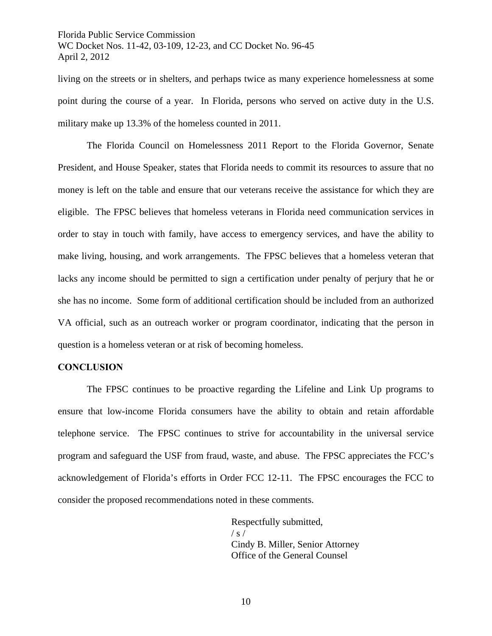living on the streets or in shelters, and perhaps twice as many experience homelessness at some point during the course of a year. In Florida, persons who served on active duty in the U.S. military make up 13.3% of the homeless counted in 2011.

 The Florida Council on Homelessness 2011 Report to the Florida Governor, Senate President, and House Speaker, states that Florida needs to commit its resources to assure that no money is left on the table and ensure that our veterans receive the assistance for which they are eligible. The FPSC believes that homeless veterans in Florida need communication services in order to stay in touch with family, have access to emergency services, and have the ability to make living, housing, and work arrangements. The FPSC believes that a homeless veteran that lacks any income should be permitted to sign a certification under penalty of perjury that he or she has no income. Some form of additional certification should be included from an authorized VA official, such as an outreach worker or program coordinator, indicating that the person in question is a homeless veteran or at risk of becoming homeless.

#### **CONCLUSION**

The FPSC continues to be proactive regarding the Lifeline and Link Up programs to ensure that low-income Florida consumers have the ability to obtain and retain affordable telephone service. The FPSC continues to strive for accountability in the universal service program and safeguard the USF from fraud, waste, and abuse. The FPSC appreciates the FCC's acknowledgement of Florida's efforts in Order FCC 12-11. The FPSC encourages the FCC to consider the proposed recommendations noted in these comments.

> Respectfully submitted,  $/ s /$ Cindy B. Miller, Senior Attorney Office of the General Counsel